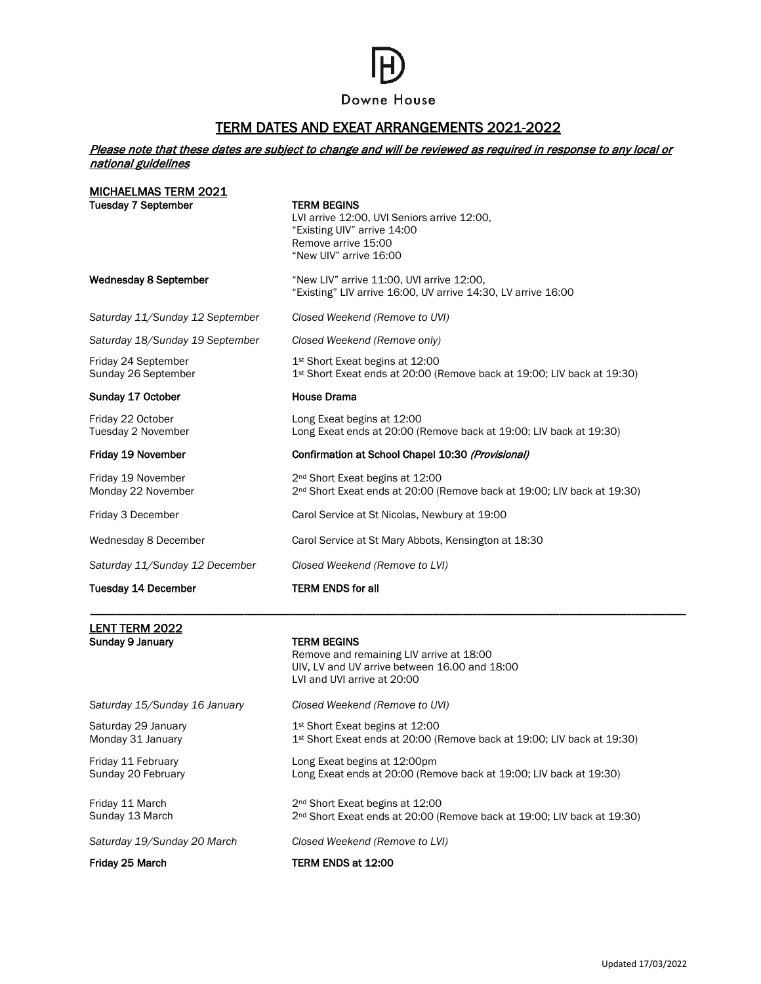## Downe House

## TERM DATES AND EXEAT ARRANGEMENTS 2021-2022

## Please note that these dates are subject to change and will be reviewed as required in response to any local or national guidelines

| LENT TERM 2022<br>Sunday 9 January         | <b>TERM BEGINS</b><br>Remove and remaining LIV arrive at 18:00                                                                                    |
|--------------------------------------------|---------------------------------------------------------------------------------------------------------------------------------------------------|
|                                            |                                                                                                                                                   |
| <b>Tuesday 14 December</b>                 | <b>TERM ENDS for all</b>                                                                                                                          |
| Saturday 11/Sunday 12 December             | Closed Weekend (Remove to LVI)                                                                                                                    |
| Wednesday 8 December                       | Carol Service at St Mary Abbots, Kensington at 18:30                                                                                              |
| Friday 3 December                          | Carol Service at St Nicolas, Newbury at 19:00                                                                                                     |
| Friday 19 November<br>Monday 22 November   | 2 <sup>nd</sup> Short Exeat begins at 12:00<br>2 <sup>nd</sup> Short Exeat ends at 20:00 (Remove back at 19:00; LIV back at 19:30)                |
| Friday 19 November                         | Confirmation at School Chapel 10:30 (Provisional)                                                                                                 |
| Friday 22 October<br>Tuesday 2 November    | Long Exeat begins at 12:00<br>Long Exeat ends at 20:00 (Remove back at 19:00; LIV back at 19:30)                                                  |
| Sunday 17 October                          | <b>House Drama</b>                                                                                                                                |
| Friday 24 September<br>Sunday 26 September | 1 <sup>st</sup> Short Exeat begins at 12:00<br>1 <sup>st</sup> Short Exeat ends at 20:00 (Remove back at 19:00; LIV back at 19:30)                |
| Saturday 18/Sunday 19 September            | Closed Weekend (Remove only)                                                                                                                      |
| Saturday 11/Sunday 12 September            | Closed Weekend (Remove to UVI)                                                                                                                    |
| <b>Wednesday 8 September</b>               | "New LIV" arrive 11:00, UVI arrive 12:00,<br>"Existing" LIV arrive 16:00, UV arrive 14:30, LV arrive 16:00                                        |
| <b>Tuesday 7 September</b>                 | <b>TERM BEGINS</b><br>LVI arrive 12:00, UVI Seniors arrive 12:00,<br>"Existing UIV" arrive 14:00<br>Remove arrive 15:00<br>"New UIV" arrive 16:00 |
| <b>MICHAELMAS TERM 2021</b>                |                                                                                                                                                   |

| Friday 25 March                          | TERM ENDS at 12:00                                                                                                                 |
|------------------------------------------|------------------------------------------------------------------------------------------------------------------------------------|
| Saturday 19/Sunday 20 March              | Closed Weekend (Remove to LVI)                                                                                                     |
| Friday 11 March<br>Sunday 13 March       | 2 <sup>nd</sup> Short Exeat begins at 12:00<br>2 <sup>nd</sup> Short Exeat ends at 20:00 (Remove back at 19:00; LIV back at 19:30) |
| Friday 11 February<br>Sunday 20 February | Long Exeat begins at 12:00pm<br>Long Exeat ends at 20:00 (Remove back at 19:00; LIV back at 19:30)                                 |
| Saturday 29 January<br>Monday 31 January | 1 <sup>st</sup> Short Exeat begins at 12:00<br>$1st$ Short Exeat ends at 20:00 (Remove back at 19:00; LIV back at 19:30)           |
| Saturday 15/Sunday 16 January            | Closed Weekend (Remove to UVI)                                                                                                     |
|                                          | UIV, LV and UV arrive between 16.00 and 18:00<br>LVI and UVI arrive at 20:00                                                       |